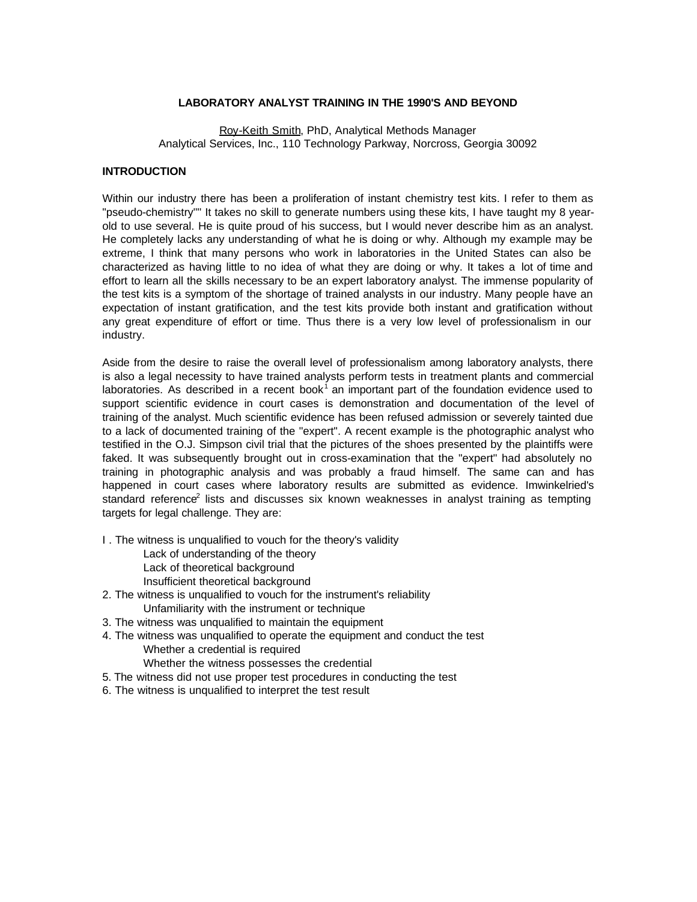### **LABORATORY ANALYST TRAINING IN THE 1990'S AND BEYOND**

Roy-Keith Smith, PhD, Analytical Methods Manager Analytical Services, Inc., 110 Technology Parkway, Norcross, Georgia 30092

#### **INTRODUCTION**

Within our industry there has been a proliferation of instant chemistry test kits. I refer to them as "pseudo-chemistry"'' It takes no skill to generate numbers using these kits, I have taught my 8 yearold to use several. He is quite proud of his success, but I would never describe him as an analyst. He completely lacks any understanding of what he is doing or why. Although my example may be extreme, I think that many persons who work in laboratories in the United States can also be characterized as having little to no idea of what they are doing or why. It takes a lot of time and effort to learn all the skills necessary to be an expert laboratory analyst. The immense popularity of the test kits is a symptom of the shortage of trained analysts in our industry. Many people have an expectation of instant gratification, and the test kits provide both instant and gratification without any great expenditure of effort or time. Thus there is a very low level of professionalism in our industry.

Aside from the desire to raise the overall level of professionalism among laboratory analysts, there is also a legal necessity to have trained analysts perform tests in treatment plants and commercial laboratories. As described in a recent book<sup>1</sup> an important part of the foundation evidence used to support scientific evidence in court cases is demonstration and documentation of the level of training of the analyst. Much scientific evidence has been refused admission or severely tainted due to a lack of documented training of the "expert". A recent example is the photographic analyst who testified in the O.J. Simpson civil trial that the pictures of the shoes presented by the plaintiffs were faked. It was subsequently brought out in cross-examination that the "expert" had absolutely no training in photographic analysis and was probably a fraud himself. The same can and has happened in court cases where laboratory results are submitted as evidence. Imwinkelried's standard reference<sup>2</sup> lists and discusses six known weaknesses in analyst training as tempting targets for legal challenge. They are:

- I . The witness is unqualified to vouch for the theory's validity
	- Lack of understanding of the theory
	- Lack of theoretical background
	- Insufficient theoretical background
- 2. The witness is unqualified to vouch for the instrument's reliability Unfamiliarity with the instrument or technique
- 3. The witness was unqualified to maintain the equipment
- 4. The witness was unqualified to operate the equipment and conduct the test Whether a credential is required
	- Whether the witness possesses the credential
- 5. The witness did not use proper test procedures in conducting the test
- 6. The witness is unqualified to interpret the test result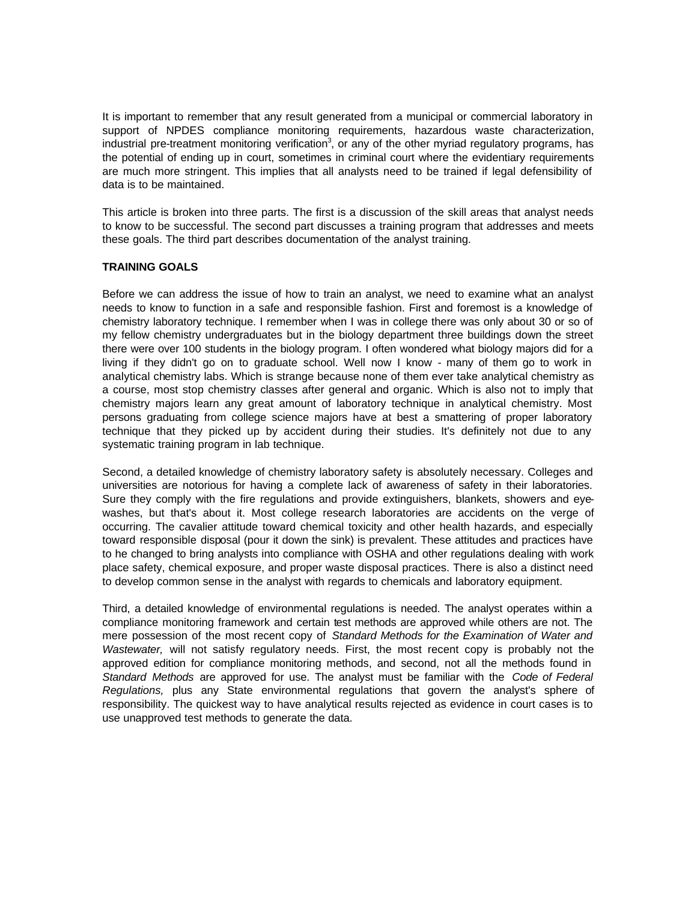It is important to remember that any result generated from a municipal or commercial laboratory in support of NPDES compliance monitoring requirements, hazardous waste characterization, industrial pre-treatment monitoring verification<sup>3</sup>, or any of the other myriad regulatory programs, has the potential of ending up in court, sometimes in criminal court where the evidentiary requirements are much more stringent. This implies that all analysts need to be trained if legal defensibility of data is to be maintained.

This article is broken into three parts. The first is a discussion of the skill areas that analyst needs to know to be successful. The second part discusses a training program that addresses and meets these goals. The third part describes documentation of the analyst training.

## **TRAINING GOALS**

Before we can address the issue of how to train an analyst, we need to examine what an analyst needs to know to function in a safe and responsible fashion. First and foremost is a knowledge of chemistry laboratory technique. I remember when I was in college there was only about 30 or so of my fellow chemistry undergraduates but in the biology department three buildings down the street there were over 100 students in the biology program. I often wondered what biology majors did for a living if they didn't go on to graduate school. Well now I know - many of them go to work in analytical chemistry labs. Which is strange because none of them ever take analytical chemistry as a course, most stop chemistry classes after general and organic. Which is also not to imply that chemistry majors learn any great amount of laboratory technique in analytical chemistry. Most persons graduating from college science majors have at best a smattering of proper laboratory technique that they picked up by accident during their studies. It's definitely not due to any systematic training program in lab technique.

Second, a detailed knowledge of chemistry laboratory safety is absolutely necessary. Colleges and universities are notorious for having a complete lack of awareness of safety in their laboratories. Sure they comply with the fire regulations and provide extinguishers, blankets, showers and eyewashes, but that's about it. Most college research laboratories are accidents on the verge of occurring. The cavalier attitude toward chemical toxicity and other health hazards, and especially toward responsible disposal (pour it down the sink) is prevalent. These attitudes and practices have to he changed to bring analysts into compliance with OSHA and other regulations dealing with work place safety, chemical exposure, and proper waste disposal practices. There is also a distinct need to develop common sense in the analyst with regards to chemicals and laboratory equipment.

Third, a detailed knowledge of environmental regulations is needed. The analyst operates within a compliance monitoring framework and certain test methods are approved while others are not. The mere possession of the most recent copy of *Standard Methods for the Examination of Water and Wastewater,* will not satisfy regulatory needs. First, the most recent copy is probably not the approved edition for compliance monitoring methods, and second, not all the methods found in *Standard Methods* are approved for use. The analyst must be familiar with the *Code of Federal Regulations,* plus any State environmental regulations that govern the analyst's sphere of responsibility. The quickest way to have analytical results rejected as evidence in court cases is to use unapproved test methods to generate the data.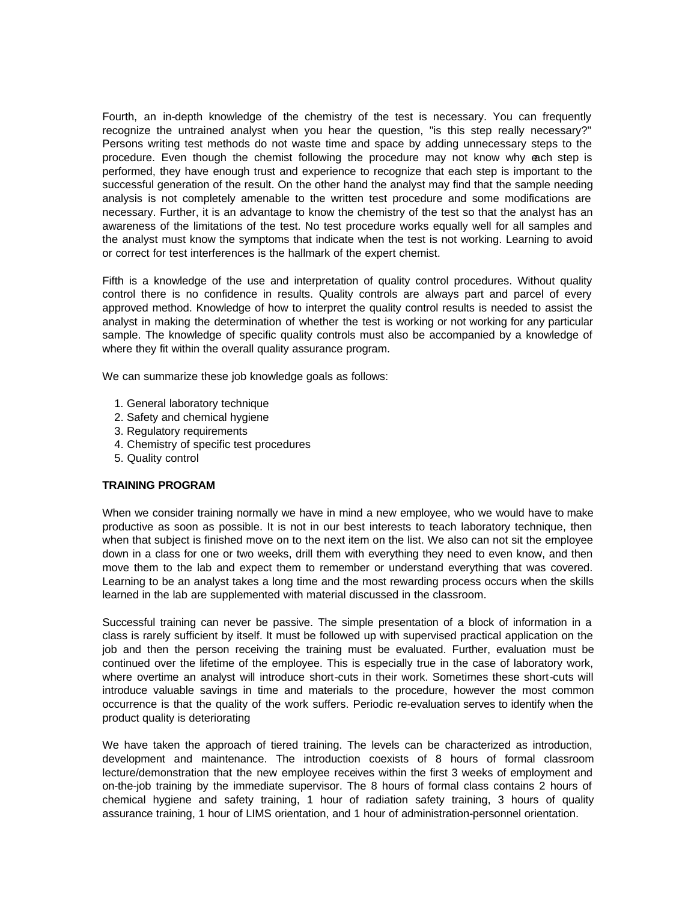Fourth, an in-depth knowledge of the chemistry of the test is necessary. You can frequently recognize the untrained analyst when you hear the question, "is this step really necessary?" Persons writing test methods do not waste time and space by adding unnecessary steps to the procedure. Even though the chemist following the procedure may not know why each step is performed, they have enough trust and experience to recognize that each step is important to the successful generation of the result. On the other hand the analyst may find that the sample needing analysis is not completely amenable to the written test procedure and some modifications are necessary. Further, it is an advantage to know the chemistry of the test so that the analyst has an awareness of the limitations of the test. No test procedure works equally well for all samples and the analyst must know the symptoms that indicate when the test is not working. Learning to avoid or correct for test interferences is the hallmark of the expert chemist.

Fifth is a knowledge of the use and interpretation of quality control procedures. Without quality control there is no confidence in results. Quality controls are always part and parcel of every approved method. Knowledge of how to interpret the quality control results is needed to assist the analyst in making the determination of whether the test is working or not working for any particular sample. The knowledge of specific quality controls must also be accompanied by a knowledge of where they fit within the overall quality assurance program.

We can summarize these job knowledge goals as follows:

- 1. General laboratory technique
- 2. Safety and chemical hygiene
- 3. Regulatory requirements
- 4. Chemistry of specific test procedures
- 5. Quality control

#### **TRAINING PROGRAM**

When we consider training normally we have in mind a new employee, who we would have to make productive as soon as possible. It is not in our best interests to teach laboratory technique, then when that subject is finished move on to the next item on the list. We also can not sit the employee down in a class for one or two weeks, drill them with everything they need to even know, and then move them to the lab and expect them to remember or understand everything that was covered. Learning to be an analyst takes a long time and the most rewarding process occurs when the skills learned in the lab are supplemented with material discussed in the classroom.

Successful training can never be passive. The simple presentation of a block of information in a class is rarely sufficient by itself. It must be followed up with supervised practical application on the job and then the person receiving the training must be evaluated. Further, evaluation must be continued over the lifetime of the employee. This is especially true in the case of laboratory work, where overtime an analyst will introduce short-cuts in their work. Sometimes these short-cuts will introduce valuable savings in time and materials to the procedure, however the most common occurrence is that the quality of the work suffers. Periodic re-evaluation serves to identify when the product quality is deteriorating

We have taken the approach of tiered training. The levels can be characterized as introduction, development and maintenance. The introduction coexists of 8 hours of formal classroom lecture/demonstration that the new employee receives within the first 3 weeks of employment and on-the-job training by the immediate supervisor. The 8 hours of formal class contains 2 hours of chemical hygiene and safety training, 1 hour of radiation safety training, 3 hours of quality assurance training, 1 hour of LIMS orientation, and 1 hour of administration-personnel orientation.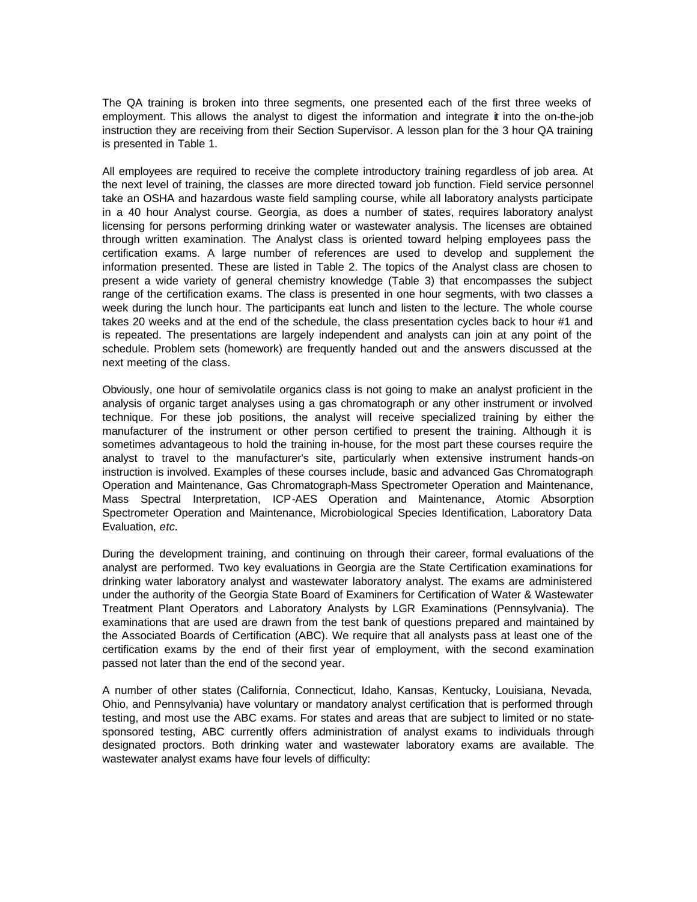The QA training is broken into three segments, one presented each of the first three weeks of employment. This allows the analyst to digest the information and integrate it into the on-the-job instruction they are receiving from their Section Supervisor. A lesson plan for the 3 hour QA training is presented in Table 1.

All employees are required to receive the complete introductory training regardless of job area. At the next level of training, the classes are more directed toward job function. Field service personnel take an OSHA and hazardous waste field sampling course, while all laboratory analysts participate in a 40 hour Analyst course. Georgia, as does a number of states, requires laboratory analyst licensing for persons performing drinking water or wastewater analysis. The licenses are obtained through written examination. The Analyst class is oriented toward helping employees pass the certification exams. A large number of references are used to develop and supplement the information presented. These are listed in Table 2. The topics of the Analyst class are chosen to present a wide variety of general chemistry knowledge (Table 3) that encompasses the subject range of the certification exams. The class is presented in one hour segments, with two classes a week during the lunch hour. The participants eat lunch and listen to the lecture. The whole course takes 20 weeks and at the end of the schedule, the class presentation cycles back to hour #1 and is repeated. The presentations are largely independent and analysts can join at any point of the schedule. Problem sets (homework) are frequently handed out and the answers discussed at the next meeting of the class.

Obviously, one hour of semivolatile organics class is not going to make an analyst proficient in the analysis of organic target analyses using a gas chromatograph or any other instrument or involved technique. For these job positions, the analyst will receive specialized training by either the manufacturer of the instrument or other person certified to present the training. Although it is sometimes advantageous to hold the training in-house, for the most part these courses require the analyst to travel to the manufacturer's site, particularly when extensive instrument hands-on instruction is involved. Examples of these courses include, basic and advanced Gas Chromatograph Operation and Maintenance, Gas Chromatograph-Mass Spectrometer Operation and Maintenance, Mass Spectral Interpretation, ICP-AES Operation and Maintenance, Atomic Absorption Spectrometer Operation and Maintenance, Microbiological Species Identification, Laboratory Data Evaluation, *etc.* 

During the development training, and continuing on through their career, formal evaluations of the analyst are performed. Two key evaluations in Georgia are the State Certification examinations for drinking water laboratory analyst and wastewater laboratory analyst. The exams are administered under the authority of the Georgia State Board of Examiners for Certification of Water & Wastewater Treatment Plant Operators and Laboratory Analysts by LGR Examinations (Pennsylvania). The examinations that are used are drawn from the test bank of questions prepared and maintained by the Associated Boards of Certification (ABC). We require that all analysts pass at least one of the certification exams by the end of their first year of employment, with the second examination passed not later than the end of the second year.

A number of other states (California, Connecticut, Idaho, Kansas, Kentucky, Louisiana, Nevada, Ohio, and Pennsylvania) have voluntary or mandatory analyst certification that is performed through testing, and most use the ABC exams. For states and areas that are subject to limited or no statesponsored testing, ABC currently offers administration of analyst exams to individuals through designated proctors. Both drinking water and wastewater laboratory exams are available. The wastewater analyst exams have four levels of difficulty: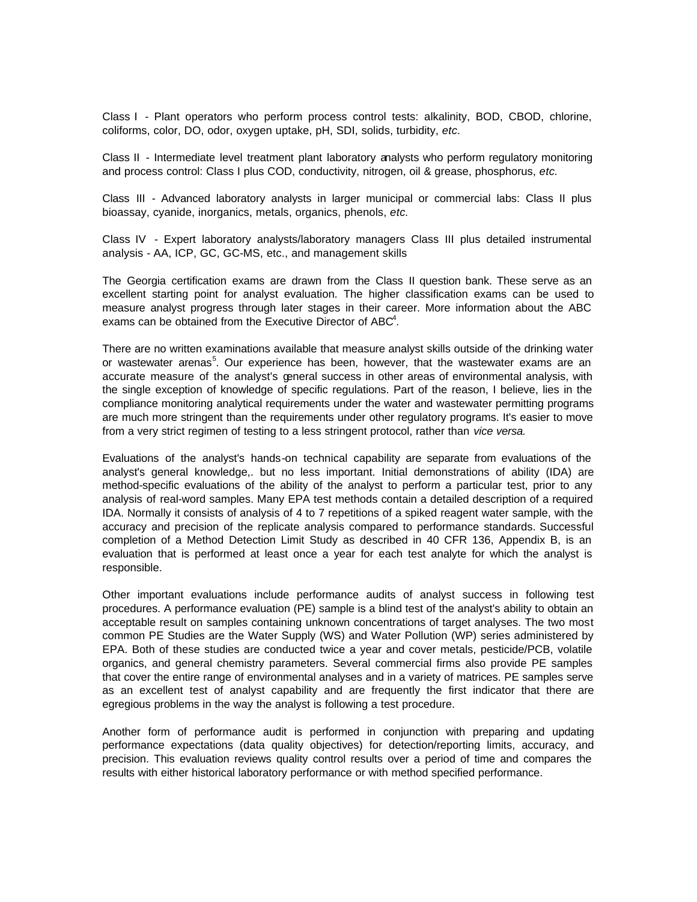Class I - Plant operators who perform process control tests: alkalinity, BOD, CBOD, chlorine, coliforms, color, DO, odor, oxygen uptake, pH, SDI, solids, turbidity, *etc.*

Class II - Intermediate level treatment plant laboratory analysts who perform regulatory monitoring and process control: Class I plus COD, conductivity, nitrogen, oil & grease, phosphorus, *etc.*

Class III - Advanced laboratory analysts in larger municipal or commercial labs: Class II plus bioassay, cyanide, inorganics, metals, organics, phenols, *etc.*

Class IV - Expert laboratory analysts/laboratory managers Class III plus detailed instrumental analysis - AA, ICP, GC, GC-MS, etc., and management skills

The Georgia certification exams are drawn from the Class II question bank. These serve as an excellent starting point for analyst evaluation. The higher classification exams can be used to measure analyst progress through later stages in their career. More information about the ABC exams can be obtained from the Executive Director of ABC<sup>4</sup>.

There are no written examinations available that measure analyst skills outside of the drinking water or wastewater arenas<sup>5</sup>. Our experience has been, however, that the wastewater exams are an accurate measure of the analyst's general success in other areas of environmental analysis, with the single exception of knowledge of specific regulations. Part of the reason, I believe, lies in the compliance monitoring analytical requirements under the water and wastewater permitting programs are much more stringent than the requirements under other regulatory programs. It's easier to move from a very strict regimen of testing to a less stringent protocol, rather than *vice versa.*

Evaluations of the analyst's hands-on technical capability are separate from evaluations of the analyst's general knowledge,. but no less important. Initial demonstrations of ability (IDA) are method-specific evaluations of the ability of the analyst to perform a particular test, prior to any analysis of real-word samples. Many EPA test methods contain a detailed description of a required IDA. Normally it consists of analysis of 4 to 7 repetitions of a spiked reagent water sample, with the accuracy and precision of the replicate analysis compared to performance standards. Successful completion of a Method Detection Limit Study as described in 40 CFR 136, Appendix B, is an evaluation that is performed at least once a year for each test analyte for which the analyst is responsible.

Other important evaluations include performance audits of analyst success in following test procedures. A performance evaluation (PE) sample is a blind test of the analyst's ability to obtain an acceptable result on samples containing unknown concentrations of target analyses. The two most common PE Studies are the Water Supply (WS) and Water Pollution (WP) series administered by EPA. Both of these studies are conducted twice a year and cover metals, pesticide/PCB, volatile organics, and general chemistry parameters. Several commercial firms also provide PE samples that cover the entire range of environmental analyses and in a variety of matrices. PE samples serve as an excellent test of analyst capability and are frequently the first indicator that there are egregious problems in the way the analyst is following a test procedure.

Another form of performance audit is performed in conjunction with preparing and updating performance expectations (data quality objectives) for detection/reporting limits, accuracy, and precision. This evaluation reviews quality control results over a period of time and compares the results with either historical laboratory performance or with method specified performance.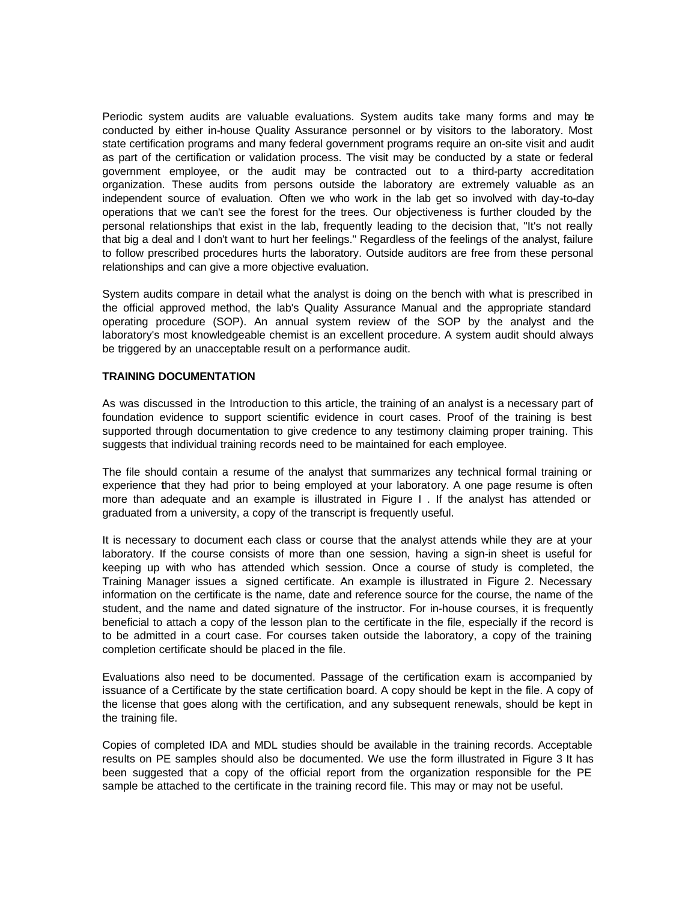Periodic system audits are valuable evaluations. System audits take many forms and may be conducted by either in-house Quality Assurance personnel or by visitors to the laboratory. Most state certification programs and many federal government programs require an on-site visit and audit as part of the certification or validation process. The visit may be conducted by a state or federal government employee, or the audit may be contracted out to a third-party accreditation organization. These audits from persons outside the laboratory are extremely valuable as an independent source of evaluation. Often we who work in the lab get so involved with day-to-day operations that we can't see the forest for the trees. Our objectiveness is further clouded by the personal relationships that exist in the lab, frequently leading to the decision that, "It's not really that big a deal and I don't want to hurt her feelings." Regardless of the feelings of the analyst, failure to follow prescribed procedures hurts the laboratory. Outside auditors are free from these personal relationships and can give a more objective evaluation.

System audits compare in detail what the analyst is doing on the bench with what is prescribed in the official approved method, the lab's Quality Assurance Manual and the appropriate standard operating procedure (SOP). An annual system review of the SOP by the analyst and the laboratory's most knowledgeable chemist is an excellent procedure. A system audit should always be triggered by an unacceptable result on a performance audit.

## **TRAINING DOCUMENTATION**

As was discussed in the Introduction to this article, the training of an analyst is a necessary part of foundation evidence to support scientific evidence in court cases. Proof of the training is best supported through documentation to give credence to any testimony claiming proper training. This suggests that individual training records need to be maintained for each employee.

The file should contain a resume of the analyst that summarizes any technical formal training or experience **t**hat they had prior to being employed at your laboratory. A one page resume is often more than adequate and an example is illustrated in Figure I . If the analyst has attended or graduated from a university, a copy of the transcript is frequently useful.

It is necessary to document each class or course that the analyst attends while they are at your laboratory. If the course consists of more than one session, having a sign-in sheet is useful for keeping up with who has attended which session. Once a course of study is completed, the Training Manager issues a signed certificate. An example is illustrated in Figure 2. Necessary information on the certificate is the name, date and reference source for the course, the name of the student, and the name and dated signature of the instructor. For in-house courses, it is frequently beneficial to attach a copy of the lesson plan to the certificate in the file, especially if the record is to be admitted in a court case. For courses taken outside the laboratory, a copy of the training completion certificate should be placed in the file.

Evaluations also need to be documented. Passage of the certification exam is accompanied by issuance of a Certificate by the state certification board. A copy should be kept in the file. A copy of the license that goes along with the certification, and any subsequent renewals, should be kept in the training file.

Copies of completed IDA and MDL studies should be available in the training records. Acceptable results on PE samples should also be documented. We use the form illustrated in Figure 3 It has been suggested that a copy of the official report from the organization responsible for the PE sample be attached to the certificate in the training record file. This may or may not be useful.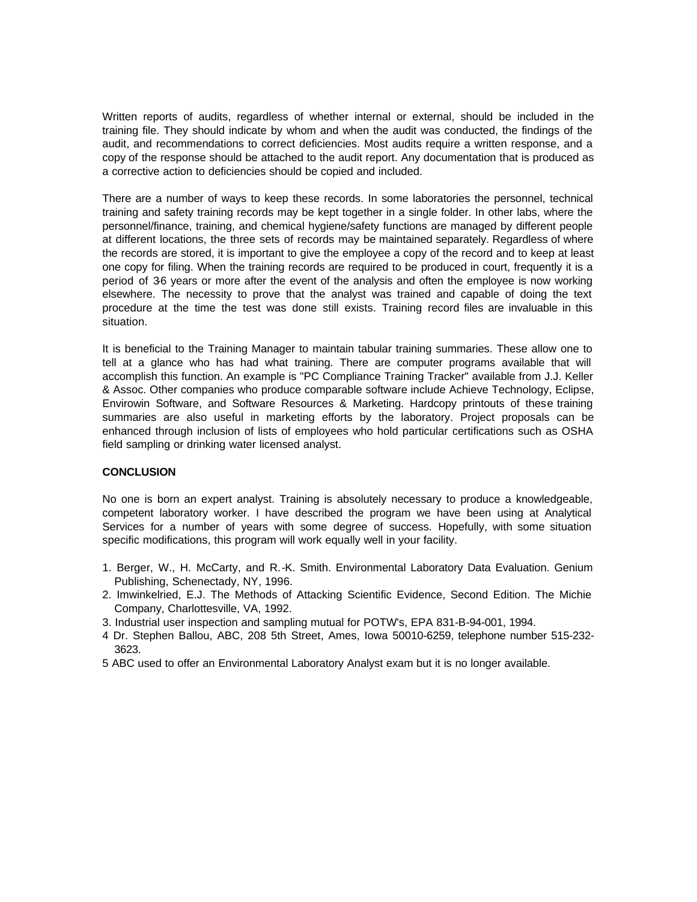Written reports of audits, regardless of whether internal or external, should be included in the training file. They should indicate by whom and when the audit was conducted, the findings of the audit, and recommendations to correct deficiencies. Most audits require a written response, and a copy of the response should be attached to the audit report. Any documentation that is produced as a corrective action to deficiencies should be copied and included.

There are a number of ways to keep these records. In some laboratories the personnel, technical training and safety training records may be kept together in a single folder. In other labs, where the personnel/finance, training, and chemical hygiene/safety functions are managed by different people at different locations, the three sets of records may be maintained separately. Regardless of where the records are stored, it is important to give the employee a copy of the record and to keep at least one copy for filing. When the training records are required to be produced in court, frequently it is a period of 36 years or more after the event of the analysis and often the employee is now working elsewhere. The necessity to prove that the analyst was trained and capable of doing the text procedure at the time the test was done still exists. Training record files are invaluable in this situation.

It is beneficial to the Training Manager to maintain tabular training summaries. These allow one to tell at a glance who has had what training. There are computer programs available that will accomplish this function. An example is "PC Compliance Training Tracker" available from J.J. Keller & Assoc. Other companies who produce comparable software include Achieve Technology, Eclipse, Envirowin Software, and Software Resources & Marketing. Hardcopy printouts of these training summaries are also useful in marketing efforts by the laboratory. Project proposals can be enhanced through inclusion of lists of employees who hold particular certifications such as OSHA field sampling or drinking water licensed analyst.

## **CONCLUSION**

No one is born an expert analyst. Training is absolutely necessary to produce a knowledgeable, competent laboratory worker. I have described the program we have been using at Analytical Services for a number of years with some degree of success. Hopefully, with some situation specific modifications, this program will work equally well in your facility.

- 1. Berger, W., H. McCarty, and R.-K. Smith. Environmental Laboratory Data Evaluation. Genium Publishing, Schenectady, NY, 1996.
- 2. Imwinkelried, E.J. The Methods of Attacking Scientific Evidence, Second Edition. The Michie Company, Charlottesville, VA, 1992.
- 3. Industrial user inspection and sampling mutual for POTW's, EPA 831-B-94-001, 1994.
- 4 Dr. Stephen Ballou, ABC, 208 5th Street, Ames, Iowa 50010-6259, telephone number 515-232- 3623.
- 5 ABC used to offer an Environmental Laboratory Analyst exam but it is no longer available.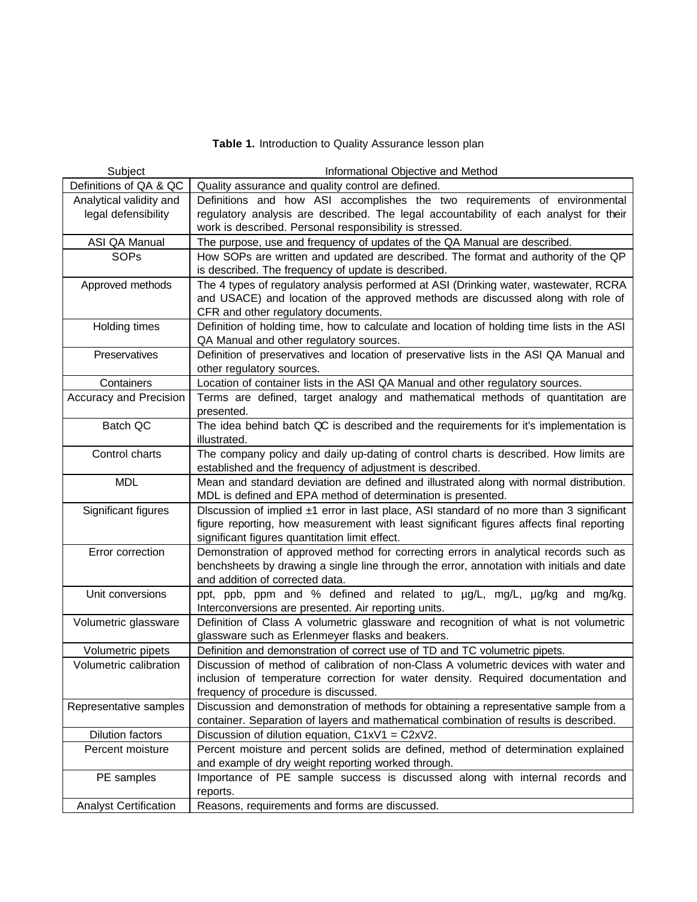**Table 1.** Introduction to Quality Assurance lesson plan

| Definitions of QA & QC<br>Quality assurance and quality control are defined.<br>Definitions and how ASI accomplishes the two requirements of environmental<br>Analytical validity and<br>regulatory analysis are described. The legal accountability of each analyst for their<br>legal defensibility<br>work is described. Personal responsibility is stressed.<br>ASI QA Manual<br>The purpose, use and frequency of updates of the QA Manual are described.<br>SOPs<br>How SOPs are written and updated are described. The format and authority of the QP<br>is described. The frequency of update is described.<br>The 4 types of regulatory analysis performed at ASI (Drinking water, wastewater, RCRA<br>Approved methods<br>and USACE) and location of the approved methods are discussed along with role of<br>CFR and other regulatory documents.<br>Definition of holding time, how to calculate and location of holding time lists in the ASI<br>Holding times<br>QA Manual and other regulatory sources.<br>Definition of preservatives and location of preservative lists in the ASI QA Manual and<br>Preservatives<br>other regulatory sources.<br>Containers<br>Location of container lists in the ASI QA Manual and other regulatory sources. |
|----------------------------------------------------------------------------------------------------------------------------------------------------------------------------------------------------------------------------------------------------------------------------------------------------------------------------------------------------------------------------------------------------------------------------------------------------------------------------------------------------------------------------------------------------------------------------------------------------------------------------------------------------------------------------------------------------------------------------------------------------------------------------------------------------------------------------------------------------------------------------------------------------------------------------------------------------------------------------------------------------------------------------------------------------------------------------------------------------------------------------------------------------------------------------------------------------------------------------------------------------------------|
|                                                                                                                                                                                                                                                                                                                                                                                                                                                                                                                                                                                                                                                                                                                                                                                                                                                                                                                                                                                                                                                                                                                                                                                                                                                                |
|                                                                                                                                                                                                                                                                                                                                                                                                                                                                                                                                                                                                                                                                                                                                                                                                                                                                                                                                                                                                                                                                                                                                                                                                                                                                |
|                                                                                                                                                                                                                                                                                                                                                                                                                                                                                                                                                                                                                                                                                                                                                                                                                                                                                                                                                                                                                                                                                                                                                                                                                                                                |
|                                                                                                                                                                                                                                                                                                                                                                                                                                                                                                                                                                                                                                                                                                                                                                                                                                                                                                                                                                                                                                                                                                                                                                                                                                                                |
|                                                                                                                                                                                                                                                                                                                                                                                                                                                                                                                                                                                                                                                                                                                                                                                                                                                                                                                                                                                                                                                                                                                                                                                                                                                                |
|                                                                                                                                                                                                                                                                                                                                                                                                                                                                                                                                                                                                                                                                                                                                                                                                                                                                                                                                                                                                                                                                                                                                                                                                                                                                |
|                                                                                                                                                                                                                                                                                                                                                                                                                                                                                                                                                                                                                                                                                                                                                                                                                                                                                                                                                                                                                                                                                                                                                                                                                                                                |
|                                                                                                                                                                                                                                                                                                                                                                                                                                                                                                                                                                                                                                                                                                                                                                                                                                                                                                                                                                                                                                                                                                                                                                                                                                                                |
|                                                                                                                                                                                                                                                                                                                                                                                                                                                                                                                                                                                                                                                                                                                                                                                                                                                                                                                                                                                                                                                                                                                                                                                                                                                                |
|                                                                                                                                                                                                                                                                                                                                                                                                                                                                                                                                                                                                                                                                                                                                                                                                                                                                                                                                                                                                                                                                                                                                                                                                                                                                |
|                                                                                                                                                                                                                                                                                                                                                                                                                                                                                                                                                                                                                                                                                                                                                                                                                                                                                                                                                                                                                                                                                                                                                                                                                                                                |
|                                                                                                                                                                                                                                                                                                                                                                                                                                                                                                                                                                                                                                                                                                                                                                                                                                                                                                                                                                                                                                                                                                                                                                                                                                                                |
|                                                                                                                                                                                                                                                                                                                                                                                                                                                                                                                                                                                                                                                                                                                                                                                                                                                                                                                                                                                                                                                                                                                                                                                                                                                                |
|                                                                                                                                                                                                                                                                                                                                                                                                                                                                                                                                                                                                                                                                                                                                                                                                                                                                                                                                                                                                                                                                                                                                                                                                                                                                |
|                                                                                                                                                                                                                                                                                                                                                                                                                                                                                                                                                                                                                                                                                                                                                                                                                                                                                                                                                                                                                                                                                                                                                                                                                                                                |
| Accuracy and Precision<br>Terms are defined, target analogy and mathematical methods of quantitation are                                                                                                                                                                                                                                                                                                                                                                                                                                                                                                                                                                                                                                                                                                                                                                                                                                                                                                                                                                                                                                                                                                                                                       |
| presented.                                                                                                                                                                                                                                                                                                                                                                                                                                                                                                                                                                                                                                                                                                                                                                                                                                                                                                                                                                                                                                                                                                                                                                                                                                                     |
| Batch QC<br>The idea behind batch QC is described and the requirements for it's implementation is                                                                                                                                                                                                                                                                                                                                                                                                                                                                                                                                                                                                                                                                                                                                                                                                                                                                                                                                                                                                                                                                                                                                                              |
| illustrated.                                                                                                                                                                                                                                                                                                                                                                                                                                                                                                                                                                                                                                                                                                                                                                                                                                                                                                                                                                                                                                                                                                                                                                                                                                                   |
| The company policy and daily up-dating of control charts is described. How limits are<br>Control charts                                                                                                                                                                                                                                                                                                                                                                                                                                                                                                                                                                                                                                                                                                                                                                                                                                                                                                                                                                                                                                                                                                                                                        |
| established and the frequency of adjustment is described.                                                                                                                                                                                                                                                                                                                                                                                                                                                                                                                                                                                                                                                                                                                                                                                                                                                                                                                                                                                                                                                                                                                                                                                                      |
| <b>MDL</b><br>Mean and standard deviation are defined and illustrated along with normal distribution.                                                                                                                                                                                                                                                                                                                                                                                                                                                                                                                                                                                                                                                                                                                                                                                                                                                                                                                                                                                                                                                                                                                                                          |
| MDL is defined and EPA method of determination is presented.                                                                                                                                                                                                                                                                                                                                                                                                                                                                                                                                                                                                                                                                                                                                                                                                                                                                                                                                                                                                                                                                                                                                                                                                   |
| Significant figures<br>Discussion of implied ±1 error in last place, ASI standard of no more than 3 significant                                                                                                                                                                                                                                                                                                                                                                                                                                                                                                                                                                                                                                                                                                                                                                                                                                                                                                                                                                                                                                                                                                                                                |
| figure reporting, how measurement with least significant figures affects final reporting                                                                                                                                                                                                                                                                                                                                                                                                                                                                                                                                                                                                                                                                                                                                                                                                                                                                                                                                                                                                                                                                                                                                                                       |
| significant figures quantitation limit effect.                                                                                                                                                                                                                                                                                                                                                                                                                                                                                                                                                                                                                                                                                                                                                                                                                                                                                                                                                                                                                                                                                                                                                                                                                 |
| Demonstration of approved method for correcting errors in analytical records such as<br>Error correction                                                                                                                                                                                                                                                                                                                                                                                                                                                                                                                                                                                                                                                                                                                                                                                                                                                                                                                                                                                                                                                                                                                                                       |
| benchsheets by drawing a single line through the error, annotation with initials and date                                                                                                                                                                                                                                                                                                                                                                                                                                                                                                                                                                                                                                                                                                                                                                                                                                                                                                                                                                                                                                                                                                                                                                      |
| and addition of corrected data.<br>Unit conversions                                                                                                                                                                                                                                                                                                                                                                                                                                                                                                                                                                                                                                                                                                                                                                                                                                                                                                                                                                                                                                                                                                                                                                                                            |
| ppt, ppb, ppm and % defined and related to µg/L, mg/L, µg/kg and mg/kg.<br>Interconversions are presented. Air reporting units.                                                                                                                                                                                                                                                                                                                                                                                                                                                                                                                                                                                                                                                                                                                                                                                                                                                                                                                                                                                                                                                                                                                                |
| Definition of Class A volumetric glassware and recognition of what is not volumetric<br>Volumetric glassware                                                                                                                                                                                                                                                                                                                                                                                                                                                                                                                                                                                                                                                                                                                                                                                                                                                                                                                                                                                                                                                                                                                                                   |
| glassware such as Erlenmeyer flasks and beakers.                                                                                                                                                                                                                                                                                                                                                                                                                                                                                                                                                                                                                                                                                                                                                                                                                                                                                                                                                                                                                                                                                                                                                                                                               |
| Volumetric pipets<br>Definition and demonstration of correct use of TD and TC volumetric pipets.                                                                                                                                                                                                                                                                                                                                                                                                                                                                                                                                                                                                                                                                                                                                                                                                                                                                                                                                                                                                                                                                                                                                                               |
| Discussion of method of calibration of non-Class A volumetric devices with water and<br>Volumetric calibration                                                                                                                                                                                                                                                                                                                                                                                                                                                                                                                                                                                                                                                                                                                                                                                                                                                                                                                                                                                                                                                                                                                                                 |
| inclusion of temperature correction for water density. Required documentation and                                                                                                                                                                                                                                                                                                                                                                                                                                                                                                                                                                                                                                                                                                                                                                                                                                                                                                                                                                                                                                                                                                                                                                              |
| frequency of procedure is discussed.                                                                                                                                                                                                                                                                                                                                                                                                                                                                                                                                                                                                                                                                                                                                                                                                                                                                                                                                                                                                                                                                                                                                                                                                                           |
| Discussion and demonstration of methods for obtaining a representative sample from a<br>Representative samples                                                                                                                                                                                                                                                                                                                                                                                                                                                                                                                                                                                                                                                                                                                                                                                                                                                                                                                                                                                                                                                                                                                                                 |
| container. Separation of layers and mathematical combination of results is described.                                                                                                                                                                                                                                                                                                                                                                                                                                                                                                                                                                                                                                                                                                                                                                                                                                                                                                                                                                                                                                                                                                                                                                          |
| Dilution factors<br>Discussion of dilution equation, $C1xV1 = C2xV2$ .                                                                                                                                                                                                                                                                                                                                                                                                                                                                                                                                                                                                                                                                                                                                                                                                                                                                                                                                                                                                                                                                                                                                                                                         |
| Percent moisture<br>Percent moisture and percent solids are defined, method of determination explained                                                                                                                                                                                                                                                                                                                                                                                                                                                                                                                                                                                                                                                                                                                                                                                                                                                                                                                                                                                                                                                                                                                                                         |
| and example of dry weight reporting worked through.                                                                                                                                                                                                                                                                                                                                                                                                                                                                                                                                                                                                                                                                                                                                                                                                                                                                                                                                                                                                                                                                                                                                                                                                            |
| Importance of PE sample success is discussed along with internal records and<br>PE samples                                                                                                                                                                                                                                                                                                                                                                                                                                                                                                                                                                                                                                                                                                                                                                                                                                                                                                                                                                                                                                                                                                                                                                     |
| reports.                                                                                                                                                                                                                                                                                                                                                                                                                                                                                                                                                                                                                                                                                                                                                                                                                                                                                                                                                                                                                                                                                                                                                                                                                                                       |
| Reasons, requirements and forms are discussed.<br><b>Analyst Certification</b>                                                                                                                                                                                                                                                                                                                                                                                                                                                                                                                                                                                                                                                                                                                                                                                                                                                                                                                                                                                                                                                                                                                                                                                 |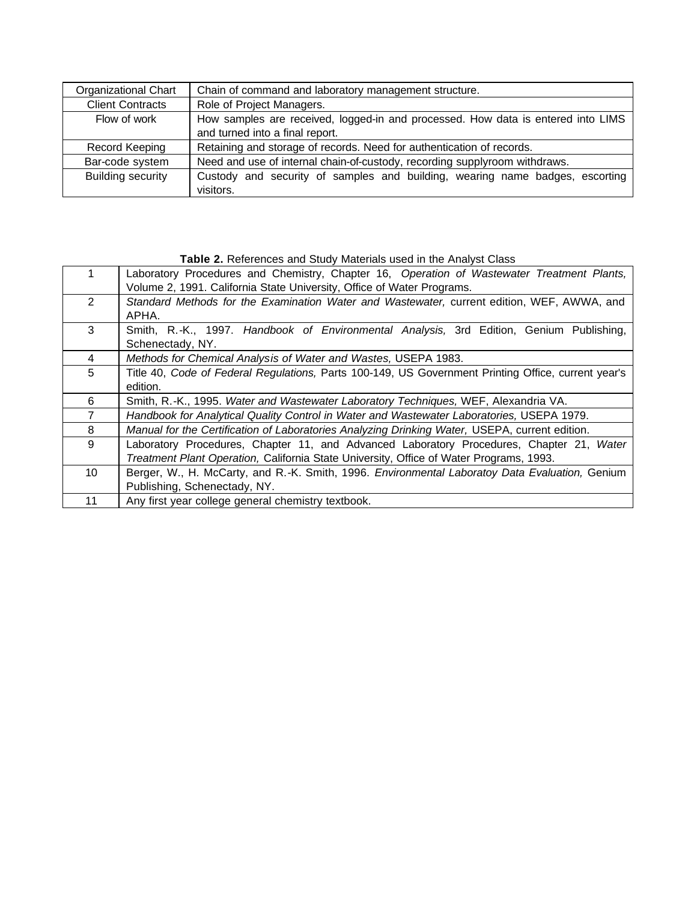| Organizational Chart     | Chain of command and laboratory management structure.                            |  |
|--------------------------|----------------------------------------------------------------------------------|--|
| <b>Client Contracts</b>  | Role of Project Managers.                                                        |  |
| Flow of work             | How samples are received, logged-in and processed. How data is entered into LIMS |  |
|                          | and turned into a final report.                                                  |  |
| Record Keeping           | Retaining and storage of records. Need for authentication of records.            |  |
| Bar-code system          | Need and use of internal chain-of-custody, recording supplyroom withdraws.       |  |
| <b>Building security</b> | Custody and security of samples and building, wearing name badges, escorting     |  |
|                          | visitors.                                                                        |  |

## **Table 2.** References and Study Materials used in the Analyst Class

|                | Laboratory Procedures and Chemistry, Chapter 16, Operation of Wastewater Treatment Plants,<br>Volume 2, 1991. California State University, Office of Water Programs.                |
|----------------|-------------------------------------------------------------------------------------------------------------------------------------------------------------------------------------|
| $\overline{2}$ | Standard Methods for the Examination Water and Wastewater, current edition, WEF, AWWA, and<br>APHA.                                                                                 |
| 3              | Smith, R.-K., 1997. Handbook of Environmental Analysis, 3rd Edition, Genium Publishing,<br>Schenectady, NY.                                                                         |
| 4              | Methods for Chemical Analysis of Water and Wastes, USEPA 1983.                                                                                                                      |
| 5              | Title 40, Code of Federal Regulations, Parts 100-149, US Government Printing Office, current year's<br>edition.                                                                     |
| 6              | Smith, R.-K., 1995. Water and Wastewater Laboratory Techniques, WEF, Alexandria VA.                                                                                                 |
| 7              | Handbook for Analytical Quality Control in Water and Wastewater Laboratories, USEPA 1979.                                                                                           |
| 8              | Manual for the Certification of Laboratories Analyzing Drinking Water, USEPA, current edition.                                                                                      |
| 9              | Laboratory Procedures, Chapter 11, and Advanced Laboratory Procedures, Chapter 21, Water<br>Treatment Plant Operation, California State University, Office of Water Programs, 1993. |
| 10             | Berger, W., H. McCarty, and R.-K. Smith, 1996. Environmental Laboratoy Data Evaluation, Genium<br>Publishing, Schenectady, NY.                                                      |
| 11             | Any first year college general chemistry textbook.                                                                                                                                  |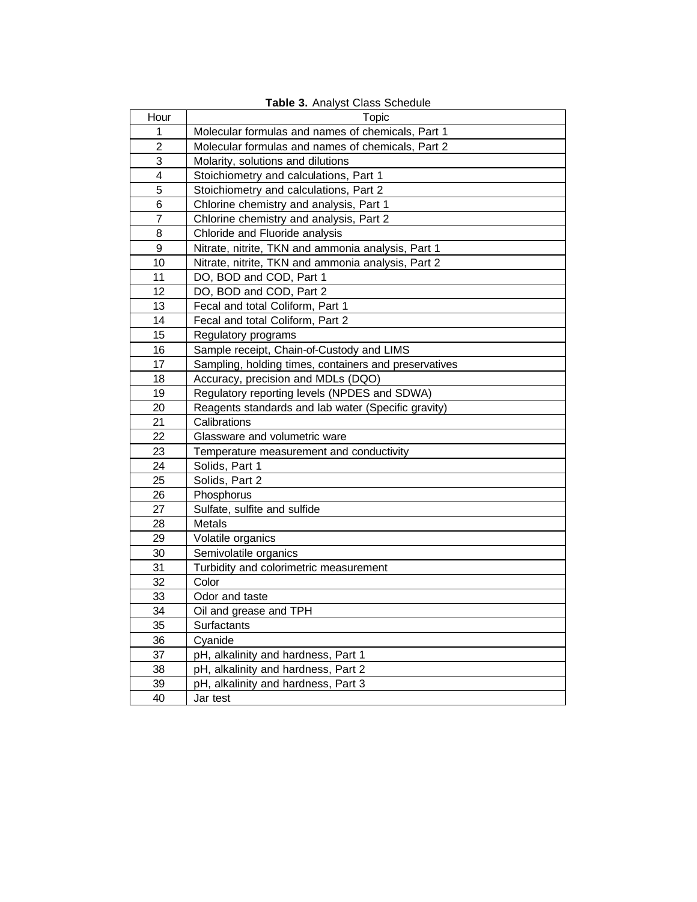| Table 3. Analyst Class Schedule |                                                       |  |  |
|---------------------------------|-------------------------------------------------------|--|--|
| Hour                            | Topic                                                 |  |  |
| 1                               | Molecular formulas and names of chemicals, Part 1     |  |  |
| $\overline{2}$                  | Molecular formulas and names of chemicals, Part 2     |  |  |
| 3                               | Molarity, solutions and dilutions                     |  |  |
| 4                               | Stoichiometry and calculations, Part 1                |  |  |
| 5                               | Stoichiometry and calculations, Part 2                |  |  |
| 6                               | Chlorine chemistry and analysis, Part 1               |  |  |
| $\overline{7}$                  | Chlorine chemistry and analysis, Part 2               |  |  |
| 8                               | Chloride and Fluoride analysis                        |  |  |
| 9                               | Nitrate, nitrite, TKN and ammonia analysis, Part 1    |  |  |
| 10                              | Nitrate, nitrite, TKN and ammonia analysis, Part 2    |  |  |
| 11                              | DO, BOD and COD, Part 1                               |  |  |
| 12                              | DO, BOD and COD, Part 2                               |  |  |
| 13                              | Fecal and total Coliform, Part 1                      |  |  |
| 14                              | Fecal and total Coliform, Part 2                      |  |  |
| 15                              | Regulatory programs                                   |  |  |
| 16                              | Sample receipt, Chain-of-Custody and LIMS             |  |  |
| 17                              | Sampling, holding times, containers and preservatives |  |  |
| 18                              | Accuracy, precision and MDLs (DQO)                    |  |  |
| 19                              | Regulatory reporting levels (NPDES and SDWA)          |  |  |
| 20                              | Reagents standards and lab water (Specific gravity)   |  |  |
| 21                              | Calibrations                                          |  |  |
| 22                              | Glassware and volumetric ware                         |  |  |
| 23                              | Temperature measurement and conductivity              |  |  |
| 24                              | Solids, Part 1                                        |  |  |
| 25                              | Solids, Part 2                                        |  |  |
| 26                              | Phosphorus                                            |  |  |
| 27                              | Sulfate, sulfite and sulfide                          |  |  |
| 28                              | <b>Metals</b>                                         |  |  |
| 29                              | Volatile organics                                     |  |  |
| 30                              | Semivolatile organics                                 |  |  |
| 31                              | Turbidity and colorimetric measurement                |  |  |
| 32                              | Color                                                 |  |  |
| 33                              | Odor and taste                                        |  |  |
| 34                              | Oil and grease and TPH                                |  |  |
| 35                              | Surfactants                                           |  |  |
| 36                              | Cyanide                                               |  |  |
| 37                              | pH, alkalinity and hardness, Part 1                   |  |  |
| 38                              | pH, alkalinity and hardness, Part 2                   |  |  |
| 39                              | pH, alkalinity and hardness, Part 3                   |  |  |
| 40                              | Jar test                                              |  |  |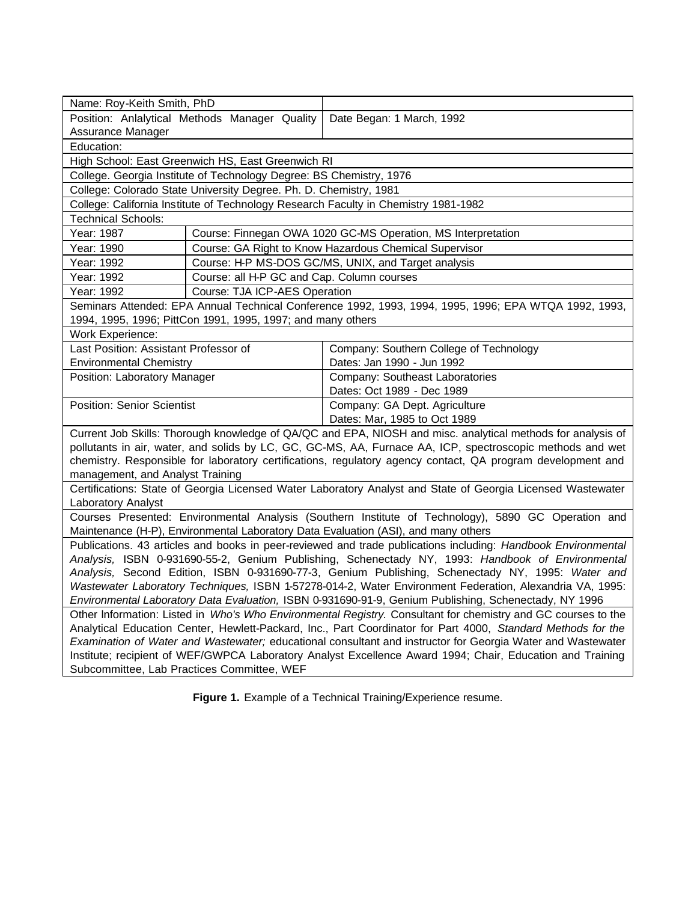| Name: Roy-Keith Smith, PhD                                                                                                                                                                                        |                                                                                                              |                                                                                                             |  |  |  |
|-------------------------------------------------------------------------------------------------------------------------------------------------------------------------------------------------------------------|--------------------------------------------------------------------------------------------------------------|-------------------------------------------------------------------------------------------------------------|--|--|--|
|                                                                                                                                                                                                                   | Position: Anlalytical Methods Manager Quality<br>Date Began: 1 March, 1992                                   |                                                                                                             |  |  |  |
| Assurance Manager                                                                                                                                                                                                 |                                                                                                              |                                                                                                             |  |  |  |
| Education:                                                                                                                                                                                                        |                                                                                                              |                                                                                                             |  |  |  |
|                                                                                                                                                                                                                   | High School: East Greenwich HS, East Greenwich RI                                                            |                                                                                                             |  |  |  |
|                                                                                                                                                                                                                   | College. Georgia Institute of Technology Degree: BS Chemistry, 1976                                          |                                                                                                             |  |  |  |
| College: Colorado State University Degree. Ph. D. Chemistry, 1981                                                                                                                                                 |                                                                                                              |                                                                                                             |  |  |  |
| College: California Institute of Technology Research Faculty in Chemistry 1981-1982                                                                                                                               |                                                                                                              |                                                                                                             |  |  |  |
| <b>Technical Schools:</b>                                                                                                                                                                                         |                                                                                                              |                                                                                                             |  |  |  |
| Year: 1987                                                                                                                                                                                                        |                                                                                                              | Course: Finnegan OWA 1020 GC-MS Operation, MS Interpretation                                                |  |  |  |
| Year: 1990                                                                                                                                                                                                        |                                                                                                              | Course: GA Right to Know Hazardous Chemical Supervisor                                                      |  |  |  |
| Year: 1992                                                                                                                                                                                                        |                                                                                                              | Course: H-P MS-DOS GC/MS, UNIX, and Target analysis                                                         |  |  |  |
| Year: 1992                                                                                                                                                                                                        | Course: all H-P GC and Cap. Column courses                                                                   |                                                                                                             |  |  |  |
| Year: 1992                                                                                                                                                                                                        | Course: TJA ICP-AES Operation                                                                                |                                                                                                             |  |  |  |
|                                                                                                                                                                                                                   |                                                                                                              | Seminars Attended: EPA Annual Technical Conference 1992, 1993, 1994, 1995, 1996; EPA WTQA 1992, 1993,       |  |  |  |
|                                                                                                                                                                                                                   | 1994, 1995, 1996; PittCon 1991, 1995, 1997; and many others                                                  |                                                                                                             |  |  |  |
| Work Experience:                                                                                                                                                                                                  |                                                                                                              |                                                                                                             |  |  |  |
| Last Position: Assistant Professor of                                                                                                                                                                             |                                                                                                              | Company: Southern College of Technology                                                                     |  |  |  |
| <b>Environmental Chemistry</b>                                                                                                                                                                                    |                                                                                                              | Dates: Jan 1990 - Jun 1992                                                                                  |  |  |  |
| Position: Laboratory Manager                                                                                                                                                                                      |                                                                                                              | Company: Southeast Laboratories                                                                             |  |  |  |
|                                                                                                                                                                                                                   |                                                                                                              | Dates: Oct 1989 - Dec 1989                                                                                  |  |  |  |
| <b>Position: Senior Scientist</b>                                                                                                                                                                                 |                                                                                                              | Company: GA Dept. Agriculture                                                                               |  |  |  |
| Dates: Mar, 1985 to Oct 1989                                                                                                                                                                                      |                                                                                                              |                                                                                                             |  |  |  |
|                                                                                                                                                                                                                   |                                                                                                              | Current Job Skills: Thorough knowledge of QA/QC and EPA, NIOSH and misc. analytical methods for analysis of |  |  |  |
|                                                                                                                                                                                                                   |                                                                                                              | pollutants in air, water, and solids by LC, GC, GC-MS, AA, Furnace AA, ICP, spectroscopic methods and wet   |  |  |  |
| chemistry. Responsible for laboratory certifications, regulatory agency contact, QA program development and                                                                                                       |                                                                                                              |                                                                                                             |  |  |  |
| management, and Analyst Training<br>Certifications: State of Georgia Licensed Water Laboratory Analyst and State of Georgia Licensed Wastewater                                                                   |                                                                                                              |                                                                                                             |  |  |  |
|                                                                                                                                                                                                                   |                                                                                                              |                                                                                                             |  |  |  |
| Laboratory Analyst                                                                                                                                                                                                |                                                                                                              |                                                                                                             |  |  |  |
| Courses Presented: Environmental Analysis (Southern Institute of Technology), 5890 GC Operation and                                                                                                               |                                                                                                              |                                                                                                             |  |  |  |
| Maintenance (H-P), Environmental Laboratory Data Evaluation (ASI), and many others                                                                                                                                |                                                                                                              |                                                                                                             |  |  |  |
| Publications. 43 articles and books in peer-reviewed and trade publications including: Handbook Environmental<br>Analysis, ISBN 0-931690-55-2, Genium Publishing, Schenectady NY, 1993: Handbook of Environmental |                                                                                                              |                                                                                                             |  |  |  |
| Analysis, Second Edition, ISBN 0-931690-77-3, Genium Publishing, Schenectady NY, 1995: Water and                                                                                                                  |                                                                                                              |                                                                                                             |  |  |  |
| Wastewater Laboratory Techniques, ISBN 1-57278-014-2, Water Environment Federation, Alexandria VA, 1995:                                                                                                          |                                                                                                              |                                                                                                             |  |  |  |
| Environmental Laboratory Data Evaluation, ISBN 0-931690-91-9, Genium Publishing, Schenectady, NY 1996                                                                                                             |                                                                                                              |                                                                                                             |  |  |  |
| Other Information: Listed in Who's Who Environmental Registry. Consultant for chemistry and GC courses to the                                                                                                     |                                                                                                              |                                                                                                             |  |  |  |
|                                                                                                                                                                                                                   | Analytical Education Center, Hewlett-Packard, Inc., Part Coordinator for Part 4000, Standard Methods for the |                                                                                                             |  |  |  |
| Examination of Water and Wastewater; educational consultant and instructor for Georgia Water and Wastewater                                                                                                       |                                                                                                              |                                                                                                             |  |  |  |
| Institute; recipient of WEF/GWPCA Laboratory Analyst Excellence Award 1994; Chair, Education and Training                                                                                                         |                                                                                                              |                                                                                                             |  |  |  |
| Subcommittee, Lab Practices Committee, WEF                                                                                                                                                                        |                                                                                                              |                                                                                                             |  |  |  |
|                                                                                                                                                                                                                   |                                                                                                              |                                                                                                             |  |  |  |

**Figure 1.** Example of a Technical Training/Experience resume.